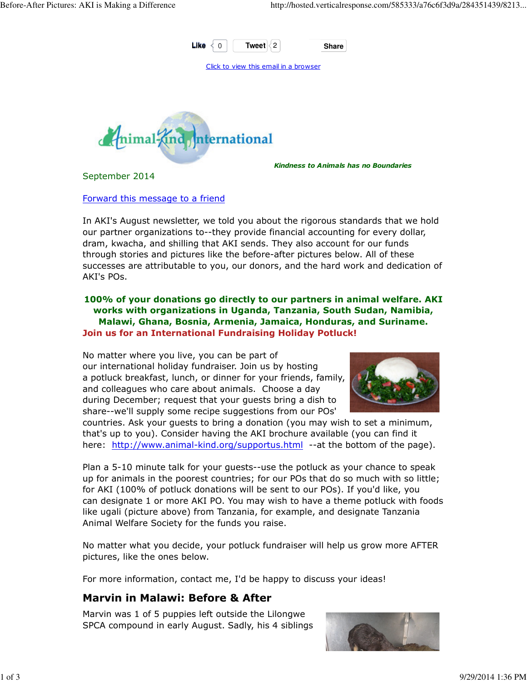

Click to view this email in a browser



September 2014

Kindness to Animals has no Boundaries

### Forward this message to a friend

In AKI's August newsletter, we told you about the rigorous standards that we hold our partner organizations to--they provide financial accounting for every dollar, dram, kwacha, and shilling that AKI sends. They also account for our funds through stories and pictures like the before-after pictures below. All of these successes are attributable to you, our donors, and the hard work and dedication of AKI's POs.

### 100% of your donations go directly to our partners in animal welfare. AKI works with organizations in Uganda, Tanzania, South Sudan, Namibia, Malawi, Ghana, Bosnia, Armenia, Jamaica, Honduras, and Suriname. Join us for an International Fundraising Holiday Potluck!

No matter where you live, you can be part of our international holiday fundraiser. Join us by hosting a potluck breakfast, lunch, or dinner for your friends, family, and colleagues who care about animals. Choose a day during December; request that your guests bring a dish to share--we'll supply some recipe suggestions from our POs'



countries. Ask your guests to bring a donation (you may wish to set a minimum, that's up to you). Consider having the AKI brochure available (you can find it here: http://www.animal-kind.org/supportus.html --at the bottom of the page).

Plan a 5-10 minute talk for your guests--use the potluck as your chance to speak up for animals in the poorest countries; for our POs that do so much with so little; for AKI (100% of potluck donations will be sent to our POs). If you'd like, you can designate 1 or more AKI PO. You may wish to have a theme potluck with foods like ugali (picture above) from Tanzania, for example, and designate Tanzania Animal Welfare Society for the funds you raise.

No matter what you decide, your potluck fundraiser will help us grow more AFTER pictures, like the ones below.

For more information, contact me, I'd be happy to discuss your ideas!

# Marvin in Malawi: Before & After

Marvin was 1 of 5 puppies left outside the Lilongwe SPCA compound in early August. Sadly, his 4 siblings

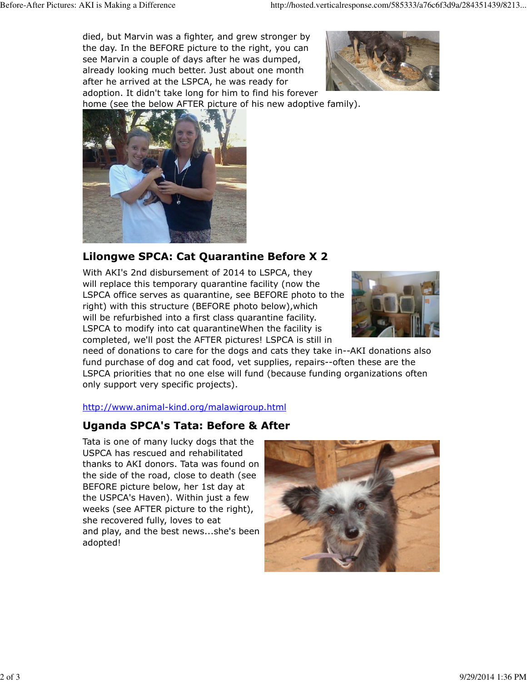died, but Marvin was a fighter, and grew stronger by the day. In the BEFORE picture to the right, you can see Marvin a couple of days after he was dumped, already looking much better. Just about one month after he arrived at the LSPCA, he was ready for adoption. It didn't take long for him to find his forever



home (see the below AFTER picture of his new adoptive family).



# Lilongwe SPCA: Cat Quarantine Before X 2

With AKI's 2nd disbursement of 2014 to LSPCA, they will replace this temporary quarantine facility (now the LSPCA office serves as quarantine, see BEFORE photo to the right) with this structure (BEFORE photo below),which will be refurbished into a first class quarantine facility. LSPCA to modify into cat quarantineWhen the facility is completed, we'll post the AFTER pictures! LSPCA is still in



need of donations to care for the dogs and cats they take in--AKI donations also fund purchase of dog and cat food, vet supplies, repairs--often these are the LSPCA priorities that no one else will fund (because funding organizations often only support very specific projects).

### http://www.animal-kind.org/malawigroup.html

# Uganda SPCA's Tata: Before & After

Tata is one of many lucky dogs that the USPCA has rescued and rehabilitated thanks to AKI donors. Tata was found on the side of the road, close to death (see BEFORE picture below, her 1st day at the USPCA's Haven). Within just a few weeks (see AFTER picture to the right), she recovered fully, loves to eat and play, and the best news...she's been adopted!